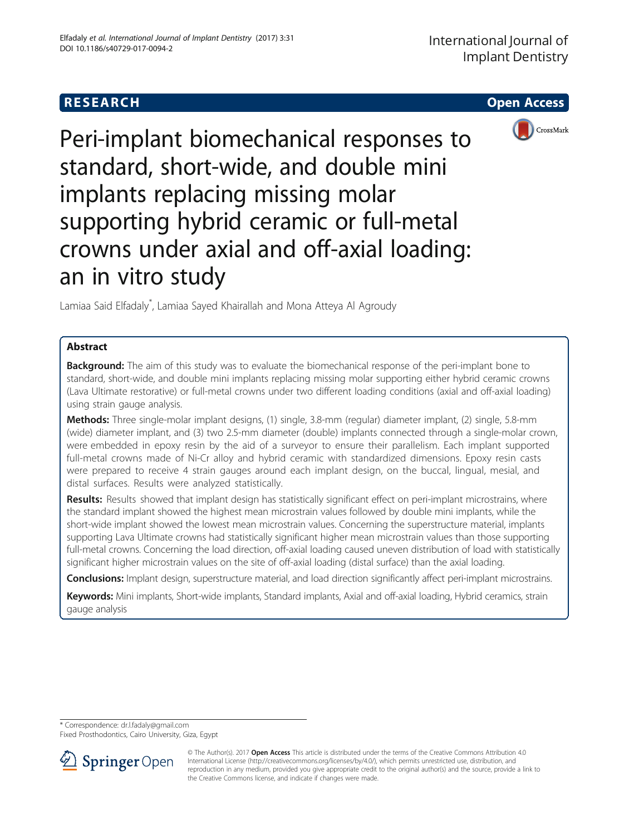# **RESEARCH CHEAR CHEAR CHEAR CHEAR CHEAR CHEAR CHEAR CHEAR CHEAR CHEAR CHEAR CHEAR CHEAR CHEAR CHEAR CHEAR CHEAR**



Peri-implant biomechanical responses to standard, short-wide, and double mini implants replacing missing molar supporting hybrid ceramic or full-metal crowns under axial and off-axial loading: an in vitro study

Lamiaa Said Elfadaly<sup>\*</sup>, Lamiaa Sayed Khairallah and Mona Atteya Al Agroudy

# Abstract

**Background:** The aim of this study was to evaluate the biomechanical response of the peri-implant bone to standard, short-wide, and double mini implants replacing missing molar supporting either hybrid ceramic crowns (Lava Ultimate restorative) or full-metal crowns under two different loading conditions (axial and off-axial loading) using strain gauge analysis.

Methods: Three single-molar implant designs, (1) single, 3.8-mm (regular) diameter implant, (2) single, 5.8-mm (wide) diameter implant, and (3) two 2.5-mm diameter (double) implants connected through a single-molar crown, were embedded in epoxy resin by the aid of a surveyor to ensure their parallelism. Each implant supported full-metal crowns made of Ni-Cr alloy and hybrid ceramic with standardized dimensions. Epoxy resin casts were prepared to receive 4 strain gauges around each implant design, on the buccal, lingual, mesial, and distal surfaces. Results were analyzed statistically.

Results: Results showed that implant design has statistically significant effect on peri-implant microstrains, where the standard implant showed the highest mean microstrain values followed by double mini implants, while the short-wide implant showed the lowest mean microstrain values. Concerning the superstructure material, implants supporting Lava Ultimate crowns had statistically significant higher mean microstrain values than those supporting full-metal crowns. Concerning the load direction, off-axial loading caused uneven distribution of load with statistically significant higher microstrain values on the site of off-axial loading (distal surface) than the axial loading.

Conclusions: Implant design, superstructure material, and load direction significantly affect peri-implant microstrains.

Keywords: Mini implants, Short-wide implants, Standard implants, Axial and off-axial loading, Hybrid ceramics, strain gauge analysis

\* Correspondence: [dr.l.fadaly@gmail.com](mailto:dr.l.fadaly@gmail.com)

Fixed Prosthodontics, Cairo University, Giza, Egypt



<sup>©</sup> The Author(s). 2017 **Open Access** This article is distributed under the terms of the Creative Commons Attribution 4.0 International License ([http://creativecommons.org/licenses/by/4.0/\)](http://creativecommons.org/licenses/by/4.0/), which permits unrestricted use, distribution, and reproduction in any medium, provided you give appropriate credit to the original author(s) and the source, provide a link to the Creative Commons license, and indicate if changes were made.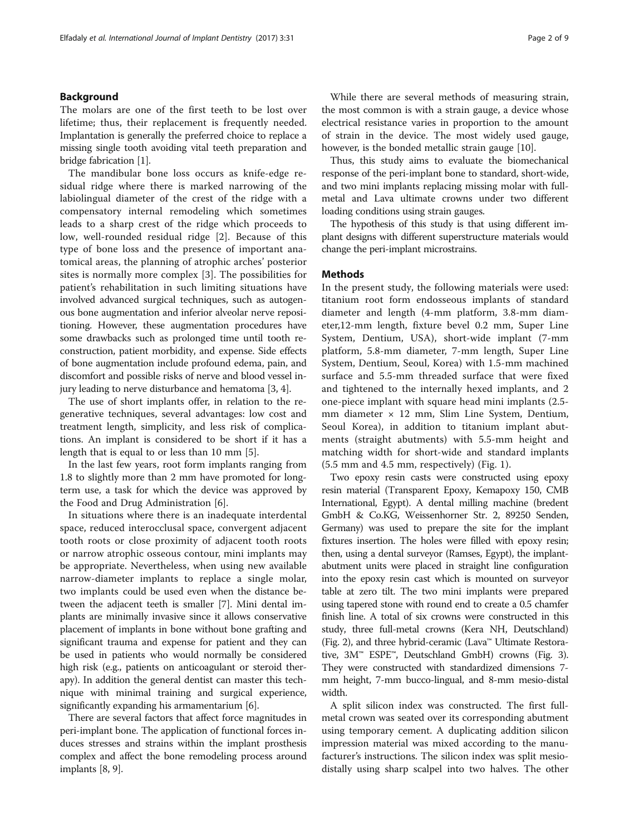### Background

The molars are one of the first teeth to be lost over lifetime; thus, their replacement is frequently needed. Implantation is generally the preferred choice to replace a missing single tooth avoiding vital teeth preparation and bridge fabrication [[1\]](#page-7-0).

The mandibular bone loss occurs as knife-edge residual ridge where there is marked narrowing of the labiolingual diameter of the crest of the ridge with a compensatory internal remodeling which sometimes leads to a sharp crest of the ridge which proceeds to low, well-rounded residual ridge [\[2](#page-7-0)]. Because of this type of bone loss and the presence of important anatomical areas, the planning of atrophic arches' posterior sites is normally more complex [\[3](#page-7-0)]. The possibilities for patient's rehabilitation in such limiting situations have involved advanced surgical techniques, such as autogenous bone augmentation and inferior alveolar nerve repositioning. However, these augmentation procedures have some drawbacks such as prolonged time until tooth reconstruction, patient morbidity, and expense. Side effects of bone augmentation include profound edema, pain, and discomfort and possible risks of nerve and blood vessel injury leading to nerve disturbance and hematoma [\[3](#page-7-0), [4\]](#page-7-0).

The use of short implants offer, in relation to the regenerative techniques, several advantages: low cost and treatment length, simplicity, and less risk of complications. An implant is considered to be short if it has a length that is equal to or less than 10 mm [\[5](#page-7-0)].

In the last few years, root form implants ranging from 1.8 to slightly more than 2 mm have promoted for longterm use, a task for which the device was approved by the Food and Drug Administration [\[6\]](#page-7-0).

In situations where there is an inadequate interdental space, reduced interocclusal space, convergent adjacent tooth roots or close proximity of adjacent tooth roots or narrow atrophic osseous contour, mini implants may be appropriate. Nevertheless, when using new available narrow-diameter implants to replace a single molar, two implants could be used even when the distance between the adjacent teeth is smaller [[7\]](#page-7-0). Mini dental implants are minimally invasive since it allows conservative placement of implants in bone without bone grafting and significant trauma and expense for patient and they can be used in patients who would normally be considered high risk (e.g., patients on anticoagulant or steroid therapy). In addition the general dentist can master this technique with minimal training and surgical experience, significantly expanding his armamentarium [\[6](#page-7-0)].

There are several factors that affect force magnitudes in peri-implant bone. The application of functional forces induces stresses and strains within the implant prosthesis complex and affect the bone remodeling process around implants [\[8, 9](#page-7-0)].

While there are several methods of measuring strain, the most common is with a strain gauge, a device whose electrical resistance varies in proportion to the amount of strain in the device. The most widely used gauge, however, is the bonded metallic strain gauge [[10\]](#page-7-0).

Thus, this study aims to evaluate the biomechanical response of the peri-implant bone to standard, short-wide, and two mini implants replacing missing molar with fullmetal and Lava ultimate crowns under two different loading conditions using strain gauges.

The hypothesis of this study is that using different implant designs with different superstructure materials would change the peri-implant microstrains.

### **Methods**

In the present study, the following materials were used: titanium root form endosseous implants of standard diameter and length (4-mm platform, 3.8-mm diameter,12-mm length, fixture bevel 0.2 mm, Super Line System, Dentium, USA), short-wide implant (7-mm platform, 5.8-mm diameter, 7-mm length, Super Line System, Dentium, Seoul, Korea) with 1.5-mm machined surface and 5.5-mm threaded surface that were fixed and tightened to the internally hexed implants, and 2 one-piece implant with square head mini implants (2.5 mm diameter  $\times$  12 mm, Slim Line System, Dentium, Seoul Korea), in addition to titanium implant abutments (straight abutments) with 5.5-mm height and matching width for short-wide and standard implants (5.5 mm and 4.5 mm, respectively) (Fig. [1\)](#page-2-0).

Two epoxy resin casts were constructed using epoxy resin material (Transparent Epoxy, Kemapoxy 150, CMB International, Egypt). A dental milling machine (bredent GmbH & Co.KG, Weissenhorner Str. 2, 89250 Senden, Germany) was used to prepare the site for the implant fixtures insertion. The holes were filled with epoxy resin; then, using a dental surveyor (Ramses, Egypt), the implantabutment units were placed in straight line configuration into the epoxy resin cast which is mounted on surveyor table at zero tilt. The two mini implants were prepared using tapered stone with round end to create a 0.5 chamfer finish line. A total of six crowns were constructed in this study, three full-metal crowns (Kera NH, Deutschland) (Fig. [2](#page-2-0)), and three hybrid-ceramic (Lava™ Ultimate Restorative, 3M™ ESPE™, Deutschland GmbH) crowns (Fig. [3](#page-2-0)). They were constructed with standardized dimensions 7 mm height, 7-mm bucco-lingual, and 8-mm mesio-distal width.

A split silicon index was constructed. The first fullmetal crown was seated over its corresponding abutment using temporary cement. A duplicating addition silicon impression material was mixed according to the manufacturer's instructions. The silicon index was split mesiodistally using sharp scalpel into two halves. The other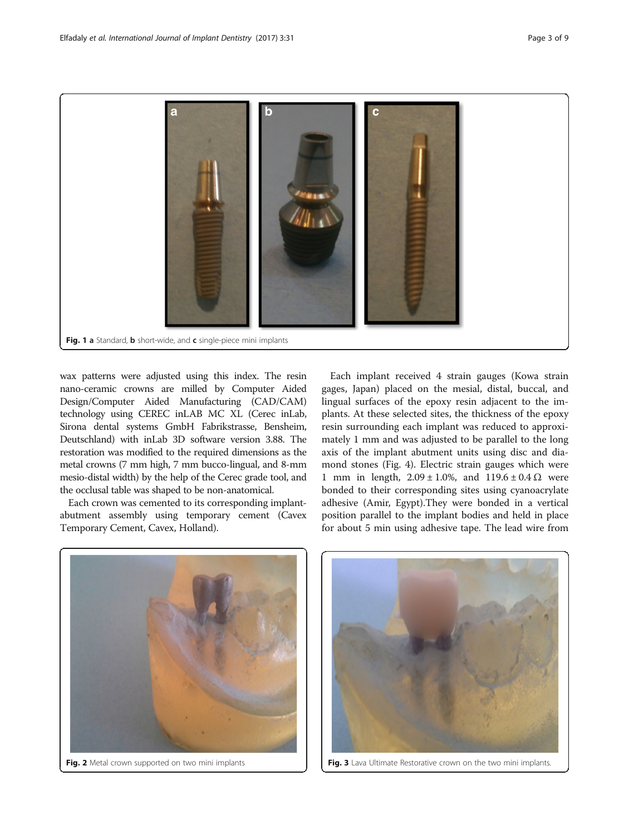<span id="page-2-0"></span>

wax patterns were adjusted using this index. The resin nano-ceramic crowns are milled by Computer Aided Design/Computer Aided Manufacturing (CAD/CAM) technology using CEREC inLAB MC XL (Cerec inLab, Sirona dental systems GmbH Fabrikstrasse, Bensheim, Deutschland) with inLab 3D software version 3.88. The restoration was modified to the required dimensions as the metal crowns (7 mm high, 7 mm bucco-lingual, and 8-mm mesio-distal width) by the help of the Cerec grade tool, and the occlusal table was shaped to be non-anatomical.

Each crown was cemented to its corresponding implantabutment assembly using temporary cement (Cavex Temporary Cement, Cavex, Holland).

Each implant received 4 strain gauges (Kowa strain gages, Japan) placed on the mesial, distal, buccal, and lingual surfaces of the epoxy resin adjacent to the implants. At these selected sites, the thickness of the epoxy resin surrounding each implant was reduced to approximately 1 mm and was adjusted to be parallel to the long axis of the implant abutment units using disc and diamond stones (Fig. [4\)](#page-3-0). Electric strain gauges which were 1 mm in length,  $2.09 \pm 1.0$ %, and  $119.6 \pm 0.4$  Ω were bonded to their corresponding sites using cyanoacrylate adhesive (Amir, Egypt).They were bonded in a vertical position parallel to the implant bodies and held in place for about 5 min using adhesive tape. The lead wire from





Fig. 2 Metal crown supported on two mini implants **Fig. 3** Lava Ultimate Restorative crown on the two mini implants.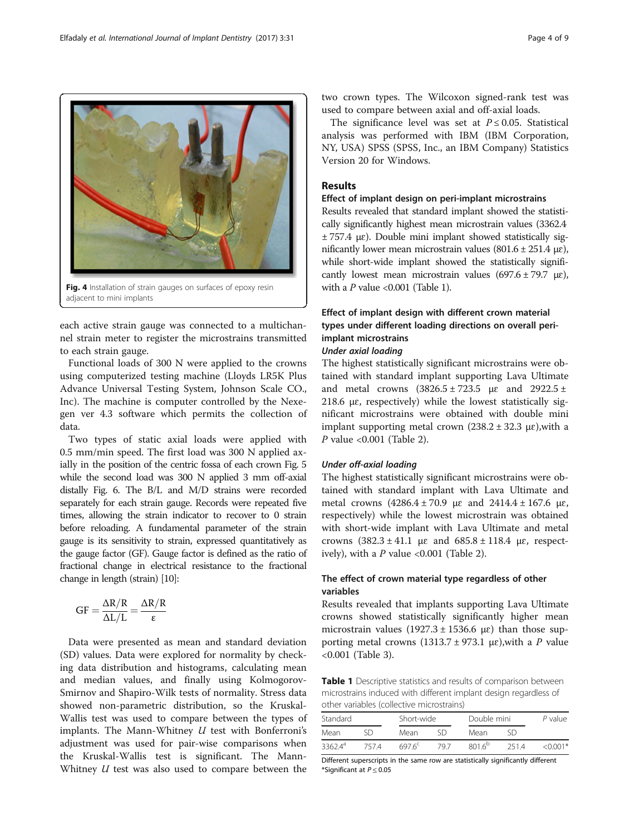each active strain gauge was connected to a multichannel strain meter to register the microstrains transmitted to each strain gauge.

Functional loads of 300 N were applied to the crowns using computerized testing machine (Lloyds LR5K Plus Advance Universal Testing System, Johnson Scale CO., Inc). The machine is computer controlled by the Nexegen ver 4.3 software which permits the collection of data.

Two types of static axial loads were applied with 0.5 mm/min speed. The first load was 300 N applied axially in the position of the centric fossa of each crown Fig. [5](#page-5-0) while the second load was 300 N applied 3 mm off-axial distally Fig. [6.](#page-5-0) The B/L and M/D strains were recorded separately for each strain gauge. Records were repeated five times, allowing the strain indicator to recover to 0 strain before reloading. A fundamental parameter of the strain gauge is its sensitivity to strain, expressed quantitatively as the gauge factor (GF). Gauge factor is defined as the ratio of fractional change in electrical resistance to the fractional change in length (strain) [\[10\]](#page-7-0):

$$
GF = \frac{\Delta R/R}{\Delta L/L} = \frac{\Delta R/R}{\epsilon}
$$

adjacent to mini implants

Data were presented as mean and standard deviation (SD) values. Data were explored for normality by checking data distribution and histograms, calculating mean and median values, and finally using Kolmogorov-Smirnov and Shapiro-Wilk tests of normality. Stress data showed non-parametric distribution, so the Kruskal-Wallis test was used to compare between the types of implants. The Mann-Whitney  $U$  test with Bonferroni's adjustment was used for pair-wise comparisons when the Kruskal-Wallis test is significant. The Mann-Whitney *U* test was also used to compare between the two crown types. The Wilcoxon signed-rank test was used to compare between axial and off-axial loads.

The significance level was set at  $P \le 0.05$ . Statistical analysis was performed with IBM (IBM Corporation, NY, USA) SPSS (SPSS, Inc., an IBM Company) Statistics Version 20 for Windows.

### Results

#### Effect of implant design on peri-implant microstrains

Results revealed that standard implant showed the statistically significantly highest mean microstrain values (3362.4 ± 757.4 μɛ). Double mini implant showed statistically significantly lower mean microstrain values (801.6 ± 251.4 με), while short-wide implant showed the statistically significantly lowest mean microstrain values  $(697.6 \pm 79.7 \text{ }\mu\text{E})$ , with a  $P$  value <0.001 (Table 1).

# Effect of implant design with different crown material types under different loading directions on overall periimplant microstrains

### Under axial loading

The highest statistically significant microstrains were obtained with standard implant supporting Lava Ultimate and metal crowns  $(3826.5 \pm 723.5 \text{ }\mu\text{g}$  and  $2922.5 \pm 723.5 \text{ }\mu\text{g}$ 218.6 μɛ, respectively) while the lowest statistically significant microstrains were obtained with double mini implant supporting metal crown  $(238.2 \pm 32.3 \,\mu\text{s})$ , with a P value <0.001 (Table [2\)](#page-4-0).

#### Under off-axial loading

The highest statistically significant microstrains were obtained with standard implant with Lava Ultimate and metal crowns  $(4286.4 \pm 70.9 \text{ }\mu\text{g} \text{ and } 2414.4 \pm 167.6 \text{ }\mu\text{g}$ , respectively) while the lowest microstrain was obtained with short-wide implant with Lava Ultimate and metal crowns  $(382.3 \pm 41.1 \ \mu \epsilon$  and  $685.8 \pm 118.4 \ \mu \epsilon$ , respectively), with a  $P$  value <0.001 (Table [2\)](#page-4-0).

### The effect of crown material type regardless of other variables

Results revealed that implants supporting Lava Ultimate crowns showed statistically significantly higher mean microstrain values  $(1927.3 \pm 1536.6 \text{ }\mu\text{)}$  than those supporting metal crowns  $(1313.7 \pm 973.1 \,\mu\text{m})$ , with a P value <0.001 (Table [3\)](#page-4-0).

Table 1 Descriptive statistics and results of comparison between microstrains induced with different implant design regardless of other variables (collective microstrains)

| Standard   |      | Short-wide        |     | Double mini       |      | $P$ value  |
|------------|------|-------------------|-----|-------------------|------|------------|
| Mean       |      | Mean              |     | Mean              |      |            |
| $3362.4^a$ | 7574 | 6976 <sup>c</sup> | 797 | 8016 <sup>b</sup> | 2514 | $< 0.001*$ |

Different superscripts in the same row are statistically significantly different \*Significant at P ≤ 0.05

<span id="page-3-0"></span>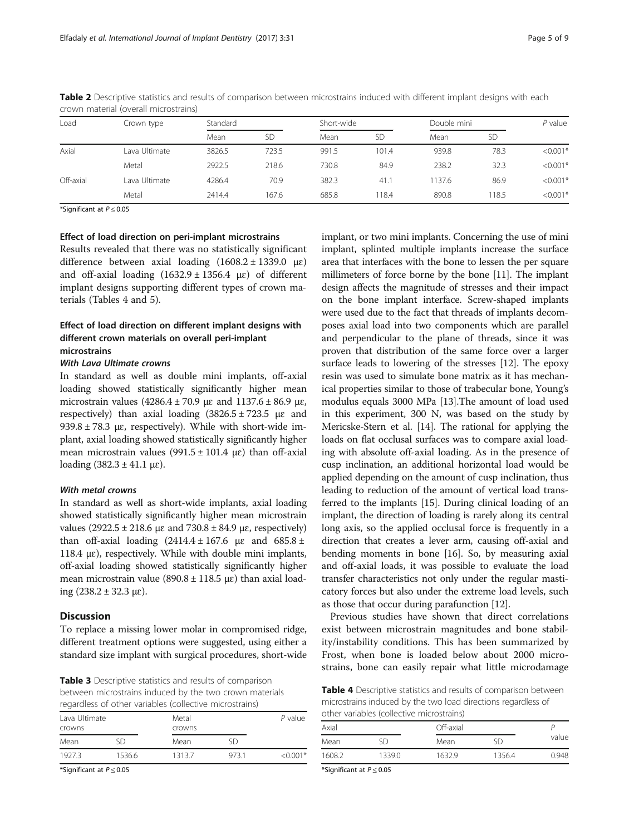| Load      | Crown type    | Standard |       |       | Short-wide |        | Double mini |            |
|-----------|---------------|----------|-------|-------|------------|--------|-------------|------------|
|           |               | Mean     | SD    | Mean  | <b>SD</b>  | Mean   | <b>SD</b>   |            |
| Axial     | Lava Ultimate | 3826.5   | 723.5 | 991.5 | 101.4      | 939.8  | 78.3        | $< 0.001*$ |
|           | Metal         | 2922.5   | 218.6 | 730.8 | 84.9       | 238.2  | 32.3        | $< 0.001*$ |
| Off-axial | Lava Ultimate | 4286.4   | 70.9  | 382.3 | 41.1       | 1137.6 | 86.9        | $< 0.001*$ |
|           | Metal         | 2414.4   | 167.6 | 685.8 | 18.4       | 890.8  | 118.5       | $< 0.001*$ |

<span id="page-4-0"></span>Table 2 Descriptive statistics and results of comparison between microstrains induced with different implant designs with each crown material (overall microstrains)

\*Significant at  $P \le 0.05$ 

Effect of load direction on peri-implant microstrains

Results revealed that there was no statistically significant difference between axial loading  $(1608.2 \pm 1339.0 \mu\varepsilon)$ and off-axial loading  $(1632.9 \pm 1356.4 \text{ }\mu\text{)}$  of different implant designs supporting different types of crown materials (Tables 4 and [5\)](#page-5-0).

## Effect of load direction on different implant designs with different crown materials on overall peri-implant microstrains

#### With Lava Ultimate crowns

In standard as well as double mini implants, off-axial loading showed statistically significantly higher mean microstrain values  $(4286.4 \pm 70.9 \text{ μ} \text{c} \text{ and } 1137.6 \pm 86.9 \text{ μ} \text{c}$ , respectively) than axial loading  $(3826.5 \pm 723.5 \text{ }\mu\text{e}$  and 939.8  $± 78.3$  με, respectively). While with short-wide implant, axial loading showed statistically significantly higher mean microstrain values (991.5 ± 101.4 με) than off-axial loading  $(382.3 \pm 41.1 \,\mu$ ε).

#### With metal crowns

In standard as well as short-wide implants, axial loading showed statistically significantly higher mean microstrain values  $(2922.5 \pm 218.6 \,\mu\text{s}$  and  $730.8 \pm 84.9 \,\mu\text{s}$ , respectively) than off-axial loading  $(2414.4 \pm 167.6 \text{ μ} \text{c} \text{ and } 685.8 \pm \text{c} \text{c} \text{)}$ 118.4 μɛ), respectively. While with double mini implants, off-axial loading showed statistically significantly higher mean microstrain value (890.8  $\pm$  118.5 με) than axial loading (238.2 ± 32.3 μɛ).

#### **Discussion**

To replace a missing lower molar in compromised ridge, different treatment options were suggested, using either a standard size implant with surgical procedures, short-wide

Table 3 Descriptive statistics and results of comparison between microstrains induced by the two crown materials regardless of other variables (collective microstrains)

| $\mathbf{u}$<br>$\overline{\phantom{a}}$ | .      |                 |       |            |  |
|------------------------------------------|--------|-----------------|-------|------------|--|
| 1927.3                                   | 1536.6 | 1313.7          | 973.1 | $< 0.001*$ |  |
| Mean                                     | SD     | Mean            | SD    |            |  |
| Lava Ultimate<br>crowns                  |        | Metal<br>crowns |       | $P$ value  |  |

\*Significant at P ≤ 0.05

implant, or two mini implants. Concerning the use of mini implant, splinted multiple implants increase the surface area that interfaces with the bone to lessen the per square millimeters of force borne by the bone [\[11\]](#page-7-0). The implant design affects the magnitude of stresses and their impact on the bone implant interface. Screw-shaped implants were used due to the fact that threads of implants decomposes axial load into two components which are parallel and perpendicular to the plane of threads, since it was proven that distribution of the same force over a larger surface leads to lowering of the stresses [[12](#page-7-0)]. The epoxy resin was used to simulate bone matrix as it has mechanical properties similar to those of trabecular bone, Young's modulus equals 3000 MPa [[13](#page-7-0)].The amount of load used in this experiment, 300 N, was based on the study by Mericske-Stern et al. [[14\]](#page-7-0). The rational for applying the loads on flat occlusal surfaces was to compare axial loading with absolute off-axial loading. As in the presence of cusp inclination, an additional horizontal load would be applied depending on the amount of cusp inclination, thus leading to reduction of the amount of vertical load transferred to the implants [[15](#page-7-0)]. During clinical loading of an implant, the direction of loading is rarely along its central long axis, so the applied occlusal force is frequently in a direction that creates a lever arm, causing off-axial and bending moments in bone [[16](#page-7-0)]. So, by measuring axial and off-axial loads, it was possible to evaluate the load transfer characteristics not only under the regular masticatory forces but also under the extreme load levels, such as those that occur during parafunction [[12](#page-7-0)].

Previous studies have shown that direct correlations exist between microstrain magnitudes and bone stability/instability conditions. This has been summarized by Frost, when bone is loaded below about 2000 microstrains, bone can easily repair what little microdamage

Table 4 Descriptive statistics and results of comparison between microstrains induced by the two load directions regardless of other variables (collective microstrains)

| <b>ULLICE VALIADICS (COIICCLIVE FLIICIUSLIAILIS)</b><br>Axial |        | Off-axial |        |       |  |
|---------------------------------------------------------------|--------|-----------|--------|-------|--|
| Mean                                                          | SD     | Mean      | SD     | value |  |
| 1608.2                                                        | 1339.0 | 1632.9    | 1356.4 | 0.948 |  |

\*Significant at P ≤ 0.05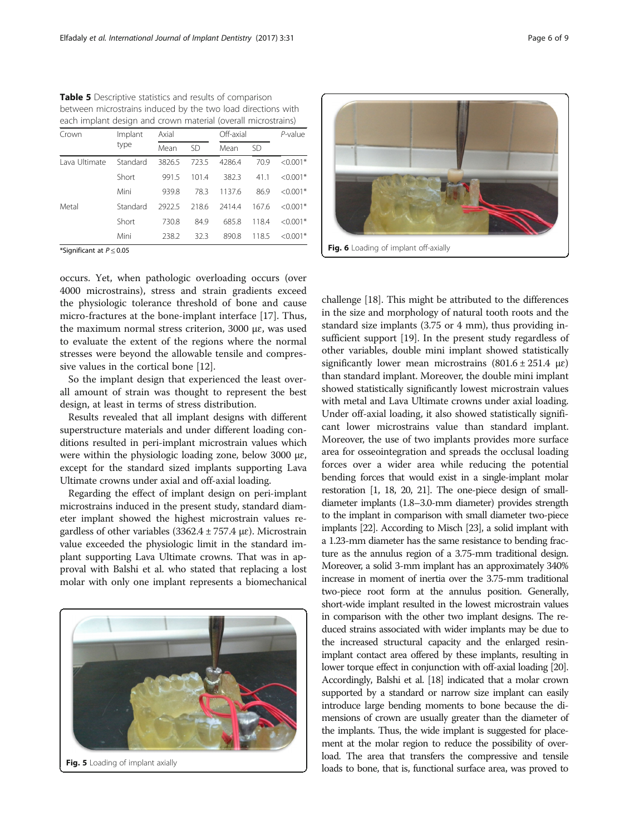<span id="page-5-0"></span>

| Table 5 Descriptive statistics and results of comparison      |
|---------------------------------------------------------------|
| between microstrains induced by the two load directions with  |
| each implant design and crown material (overall microstrains) |

| Crown         | Implant<br>type | Axial  |           | Off-axial |       | $P$ -value |
|---------------|-----------------|--------|-----------|-----------|-------|------------|
|               |                 | Mean   | <b>SD</b> | Mean      | SD    |            |
| Lava Ultimate | Standard        | 3826.5 | 723.5     | 4286.4    | 70.9  | $< 0.001*$ |
|               | Short           | 991.5  | 101.4     | 382.3     | 41.1  | $< 0.001*$ |
|               | Mini            | 939.8  | 78.3      | 1137.6    | 86.9  | $< 0.001*$ |
| Metal         | Standard        | 2922.5 | 218.6     | 2414.4    | 167.6 | $< 0.001*$ |
|               | Short           | 730.8  | 84.9      | 685.8     | 118.4 | $< 0.001*$ |
|               | Mini            | 238.2  | 32.3      | 890.8     | 118.5 | $< 0.001*$ |

\*Significant at  $P \le 0.05$ 

occurs. Yet, when pathologic overloading occurs (over 4000 microstrains), stress and strain gradients exceed the physiologic tolerance threshold of bone and cause micro-fractures at the bone-implant interface [\[17\]](#page-7-0). Thus, the maximum normal stress criterion, 3000 μɛ, was used to evaluate the extent of the regions where the normal stresses were beyond the allowable tensile and compressive values in the cortical bone [\[12\]](#page-7-0).

So the implant design that experienced the least overall amount of strain was thought to represent the best design, at least in terms of stress distribution.

Results revealed that all implant designs with different superstructure materials and under different loading conditions resulted in peri-implant microstrain values which were within the physiologic loading zone, below 3000 μɛ, except for the standard sized implants supporting Lava Ultimate crowns under axial and off-axial loading.

Regarding the effect of implant design on peri-implant microstrains induced in the present study, standard diameter implant showed the highest microstrain values regardless of other variables (3362.4  $\pm$  757.4  $\mu$ ε). Microstrain value exceeded the physiologic limit in the standard implant supporting Lava Ultimate crowns. That was in approval with Balshi et al. who stated that replacing a lost molar with only one implant represents a biomechanical



Fig. 6 Loading of implant off-axially

challenge [\[18\]](#page-7-0). This might be attributed to the differences in the size and morphology of natural tooth roots and the standard size implants (3.75 or 4 mm), thus providing insufficient support [\[19](#page-7-0)]. In the present study regardless of other variables, double mini implant showed statistically significantly lower mean microstrains  $(801.6 \pm 251.4 \text{ }\mu\text{E})$ than standard implant. Moreover, the double mini implant showed statistically significantly lowest microstrain values with metal and Lava Ultimate crowns under axial loading. Under off-axial loading, it also showed statistically significant lower microstrains value than standard implant. Moreover, the use of two implants provides more surface area for osseointegration and spreads the occlusal loading forces over a wider area while reducing the potential bending forces that would exist in a single-implant molar restoration [\[1, 18](#page-7-0), [20, 21](#page-7-0)]. The one-piece design of smalldiameter implants (1.8–3.0-mm diameter) provides strength to the implant in comparison with small diameter two-piece implants [[22\]](#page-7-0). According to Misch [\[23](#page-7-0)], a solid implant with a 1.23-mm diameter has the same resistance to bending fracture as the annulus region of a 3.75-mm traditional design. Moreover, a solid 3-mm implant has an approximately 340% increase in moment of inertia over the 3.75-mm traditional two-piece root form at the annulus position. Generally, short-wide implant resulted in the lowest microstrain values in comparison with the other two implant designs. The reduced strains associated with wider implants may be due to the increased structural capacity and the enlarged resinimplant contact area offered by these implants, resulting in lower torque effect in conjunction with off-axial loading [\[20\]](#page-7-0). Accordingly, Balshi et al. [\[18](#page-7-0)] indicated that a molar crown supported by a standard or narrow size implant can easily introduce large bending moments to bone because the dimensions of crown are usually greater than the diameter of the implants. Thus, the wide implant is suggested for placement at the molar region to reduce the possibility of overload. The area that transfers the compressive and tensile loads to bone, that is, functional surface area, was proved to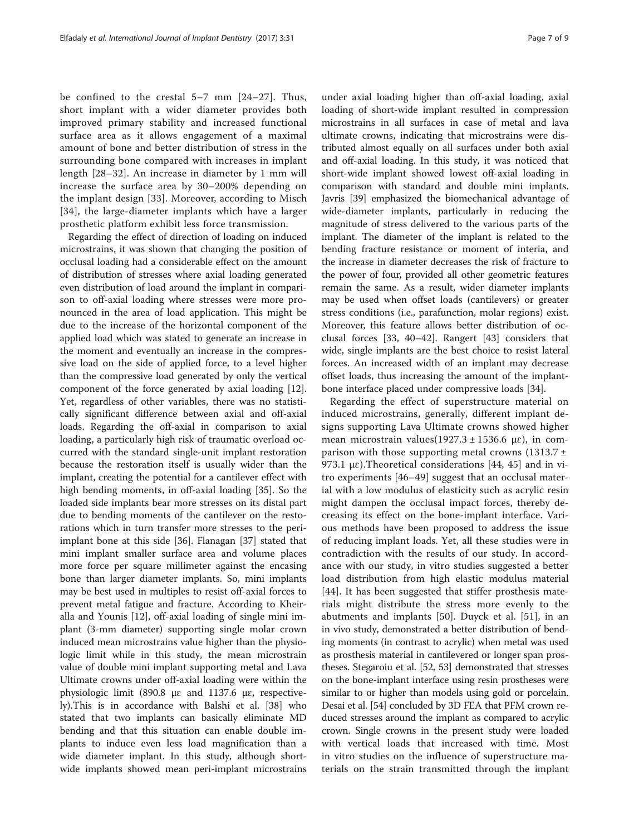be confined to the crestal 5–7 mm [[24](#page-7-0)–[27](#page-7-0)]. Thus, short implant with a wider diameter provides both improved primary stability and increased functional surface area as it allows engagement of a maximal amount of bone and better distribution of stress in the surrounding bone compared with increases in implant length [\[28](#page-8-0)–[32\]](#page-8-0). An increase in diameter by 1 mm will increase the surface area by 30–200% depending on the implant design [[33](#page-8-0)]. Moreover, according to Misch [[34](#page-8-0)], the large-diameter implants which have a larger prosthetic platform exhibit less force transmission.

Regarding the effect of direction of loading on induced microstrains, it was shown that changing the position of occlusal loading had a considerable effect on the amount of distribution of stresses where axial loading generated even distribution of load around the implant in comparison to off-axial loading where stresses were more pronounced in the area of load application. This might be due to the increase of the horizontal component of the applied load which was stated to generate an increase in the moment and eventually an increase in the compressive load on the side of applied force, to a level higher than the compressive load generated by only the vertical component of the force generated by axial loading [\[12](#page-7-0)]. Yet, regardless of other variables, there was no statistically significant difference between axial and off-axial loads. Regarding the off-axial in comparison to axial loading, a particularly high risk of traumatic overload occurred with the standard single-unit implant restoration because the restoration itself is usually wider than the implant, creating the potential for a cantilever effect with high bending moments, in off-axial loading [[35\]](#page-8-0). So the loaded side implants bear more stresses on its distal part due to bending moments of the cantilever on the restorations which in turn transfer more stresses to the periimplant bone at this side [[36\]](#page-8-0). Flanagan [\[37\]](#page-8-0) stated that mini implant smaller surface area and volume places more force per square millimeter against the encasing bone than larger diameter implants. So, mini implants may be best used in multiples to resist off-axial forces to prevent metal fatigue and fracture. According to Kheiralla and Younis [\[12](#page-7-0)], off-axial loading of single mini implant (3-mm diameter) supporting single molar crown induced mean microstrains value higher than the physiologic limit while in this study, the mean microstrain value of double mini implant supporting metal and Lava Ultimate crowns under off-axial loading were within the physiologic limit (890.8 μɛ and 1137.6 μɛ, respectively).This is in accordance with Balshi et al. [[38](#page-8-0)] who stated that two implants can basically eliminate MD bending and that this situation can enable double implants to induce even less load magnification than a wide diameter implant. In this study, although shortwide implants showed mean peri-implant microstrains

under axial loading higher than off-axial loading, axial loading of short-wide implant resulted in compression microstrains in all surfaces in case of metal and lava ultimate crowns, indicating that microstrains were distributed almost equally on all surfaces under both axial and off-axial loading. In this study, it was noticed that short-wide implant showed lowest off-axial loading in comparison with standard and double mini implants. Javris [\[39](#page-8-0)] emphasized the biomechanical advantage of wide-diameter implants, particularly in reducing the magnitude of stress delivered to the various parts of the implant. The diameter of the implant is related to the bending fracture resistance or moment of interia, and the increase in diameter decreases the risk of fracture to the power of four, provided all other geometric features remain the same. As a result, wider diameter implants may be used when offset loads (cantilevers) or greater stress conditions (i.e., parafunction, molar regions) exist. Moreover, this feature allows better distribution of occlusal forces [[33, 40](#page-8-0)–[42\]](#page-8-0). Rangert [\[43](#page-8-0)] considers that wide, single implants are the best choice to resist lateral forces. An increased width of an implant may decrease offset loads, thus increasing the amount of the implantbone interface placed under compressive loads [\[34\]](#page-8-0).

Regarding the effect of superstructure material on induced microstrains, generally, different implant designs supporting Lava Ultimate crowns showed higher mean microstrain values( $1927.3 \pm 1536.6$  με), in comparison with those supporting metal crowns (1313.7  $\pm$ 973.1 με). Theoretical considerations  $[44, 45]$  $[44, 45]$  $[44, 45]$  and in vitro experiments [\[46](#page-8-0)–[49](#page-8-0)] suggest that an occlusal material with a low modulus of elasticity such as acrylic resin might dampen the occlusal impact forces, thereby decreasing its effect on the bone-implant interface. Various methods have been proposed to address the issue of reducing implant loads. Yet, all these studies were in contradiction with the results of our study. In accordance with our study, in vitro studies suggested a better load distribution from high elastic modulus material [[44\]](#page-8-0). It has been suggested that stiffer prosthesis materials might distribute the stress more evenly to the abutments and implants [\[50](#page-8-0)]. Duyck et al. [\[51](#page-8-0)], in an in vivo study, demonstrated a better distribution of bending moments (in contrast to acrylic) when metal was used as prosthesis material in cantilevered or longer span prostheses. Stegaroiu et al. [[52](#page-8-0), [53](#page-8-0)] demonstrated that stresses on the bone-implant interface using resin prostheses were similar to or higher than models using gold or porcelain. Desai et al. [[54](#page-8-0)] concluded by 3D FEA that PFM crown reduced stresses around the implant as compared to acrylic crown. Single crowns in the present study were loaded with vertical loads that increased with time. Most in vitro studies on the influence of superstructure materials on the strain transmitted through the implant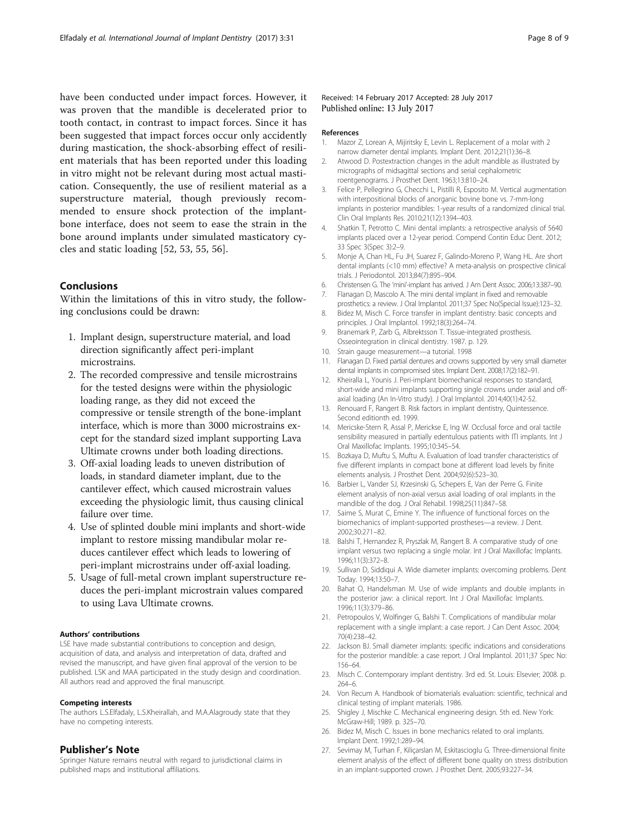<span id="page-7-0"></span>have been conducted under impact forces. However, it was proven that the mandible is decelerated prior to tooth contact, in contrast to impact forces. Since it has been suggested that impact forces occur only accidently during mastication, the shock-absorbing effect of resilient materials that has been reported under this loading in vitro might not be relevant during most actual mastication. Consequently, the use of resilient material as a superstructure material, though previously recommended to ensure shock protection of the implantbone interface, does not seem to ease the strain in the bone around implants under simulated masticatory cycles and static loading [[52](#page-8-0), [53](#page-8-0), [55](#page-8-0), [56\]](#page-8-0).

### Conclusions

Within the limitations of this in vitro study, the following conclusions could be drawn:

- 1. Implant design, superstructure material, and load direction significantly affect peri-implant microstrains.
- 2. The recorded compressive and tensile microstrains for the tested designs were within the physiologic loading range, as they did not exceed the compressive or tensile strength of the bone-implant interface, which is more than 3000 microstrains except for the standard sized implant supporting Lava Ultimate crowns under both loading directions.
- 3. Off-axial loading leads to uneven distribution of loads, in standard diameter implant, due to the cantilever effect, which caused microstrain values exceeding the physiologic limit, thus causing clinical failure over time.
- 4. Use of splinted double mini implants and short-wide implant to restore missing mandibular molar reduces cantilever effect which leads to lowering of peri-implant microstrains under off-axial loading.
- 5. Usage of full-metal crown implant superstructure reduces the peri-implant microstrain values compared to using Lava Ultimate crowns.

#### Authors' contributions

LSE have made substantial contributions to conception and design, acquisition of data, and analysis and interpretation of data, drafted and revised the manuscript, and have given final approval of the version to be published. LSK and MAA participated in the study design and coordination. All authors read and approved the final manuscript.

#### Competing interests

The authors L.S.Elfadaly, L.S.Kheirallah, and M.A.Alagroudy state that they have no competing interests.

#### Publisher's Note

Springer Nature remains neutral with regard to jurisdictional claims in published maps and institutional affiliations.

#### Received: 14 February 2017 Accepted: 28 July 2017 Published online: 13 July 2017

#### References

- 1. Mazor Z, Lorean A, Mijiritsky E, Levin L. Replacement of a molar with 2 narrow diameter dental implants. Implant Dent. 2012;21(1):36–8.
- 2. Atwood D. Postextraction changes in the adult mandible as illustrated by micrographs of midsagittal sections and serial cephalometric roentgenograms. J Prosthet Dent. 1963;13:810–24.
- 3. Felice P, Pellegrino G, Checchi L, Pistilli R, Esposito M. Vertical augmentation with interpositional blocks of anorganic bovine bone vs. 7-mm-long implants in posterior mandibles: 1-year results of a randomized clinical trial. Clin Oral Implants Res. 2010;21(12):1394–403.
- 4. Shatkin T, Petrotto C. Mini dental implants: a retrospective analysis of 5640 implants placed over a 12-year period. Compend Contin Educ Dent. 2012; 33 Spec 3(Spec 3):2–9.
- 5. Monje A, Chan HL, Fu JH, Suarez F, Galindo-Moreno P, Wang HL. Are short dental implants (<10 mm) effective? A meta-analysis on prospective clinical trials. J Periodontol. 2013;84(7):895–904.
- 6. Christensen G. The 'mini'-implant has arrived. J Am Dent Assoc. 2006;13:387–90.
- Flanagan D, Mascolo A. The mini dental implant in fixed and removable
- prosthetics: a review. J Oral Implantol. 2011;37 Spec No(Special Issue):123–32. 8. Bidez M, Misch C. Force transfer in implant dentistry: basic concepts and principles. J Oral Implantol. 1992;18(3):264–74.
- 9. Branemark P, Zarb G, Albrektsson T. Tissue-integrated prosthesis. Osseointegration in clinical dentistry. 1987. p. 129.
- 10. Strain gauge measurement—a tutorial. 1998
- 11. Flanagan D. Fixed partial dentures and crowns supported by very small diameter dental implants in compromised sites. Implant Dent. 2008;17(2):182–91.
- 12. Kheiralla L, Younis J. Peri-implant biomechanical responses to standard, short-wide and mini implants supporting single crowns under axial and offaxial loading (An In-Vitro study). J Oral Implantol. 2014;40(1):42-52.
- 13. Renouard F, Rangert B. Risk factors in implant dentistry, Quintessence. Second editionth ed. 1999.
- 14. Mericske-Stern R, Assal P, Merickse E, Ing W. Occlusal force and oral tactile sensibility measured in partially edentulous patients with ITI implants. Int J Oral Maxillofac Implants. 1995;10:345–54.
- 15. Bozkaya D, Muftu S, Muftu A. Evaluation of load transfer characteristics of five different implants in compact bone at different load levels by finite elements analysis. J Prosthet Dent. 2004;92(6):523–30.
- 16. Barbier L, Vander SJ, Krzesinski G, Schepers E, Van der Perre G. Finite element analysis of non-axial versus axial loading of oral implants in the mandible of the dog. J Oral Rehabil. 1998;25(11):847–58.
- 17. Saime S, Murat C, Emine Y. The influence of functional forces on the biomechanics of implant-supported prostheses—a review. J Dent. 2002;30:271–82.
- 18. Balshi T, Hernandez R, Pryszlak M, Rangert B. A comparative study of one implant versus two replacing a single molar. Int J Oral Maxillofac Implants. 1996;11(3):372–8.
- 19. Sullivan D, Siddiqui A. Wide diameter implants: overcoming problems. Dent Today. 1994;13:50–7.
- 20. Bahat O, Handelsman M. Use of wide implants and double implants in the posterior jaw: a clinical report. Int J Oral Maxillofac Implants. 1996;11(3):379–86.
- 21. Petropoulos V, Wolfinger G, Balshi T. Complications of mandibular molar replacement with a single implant: a case report. J Can Dent Assoc. 2004; 70(4):238–42.
- 22. Jackson BJ. Small diameter implants: specific indications and considerations for the posterior mandible: a case report. J Oral Implantol. 2011;37 Spec No: 156–64.
- 23. Misch C. Contemporary implant dentistry. 3rd ed. St. Louis: Elsevier; 2008. p. 264–6.
- 24. Von Recum A. Handbook of biomaterials evaluation: scientific, technical and clinical testing of implant materials. 1986.
- 25. Shigley J, Mischke C. Mechanical engineering design. 5th ed. New York: McGraw-Hill; 1989. p. 325–70.
- 26. Bidez M, Misch C. Issues in bone mechanics related to oral implants. Implant Dent. 1992;1:289–94.
- 27. Sevimay M, Turhan F, Kiliçarslan M, Eskitascioglu G. Three-dimensional finite element analysis of the effect of different bone quality on stress distribution in an implant-supported crown. J Prosthet Dent. 2005;93:227–34.